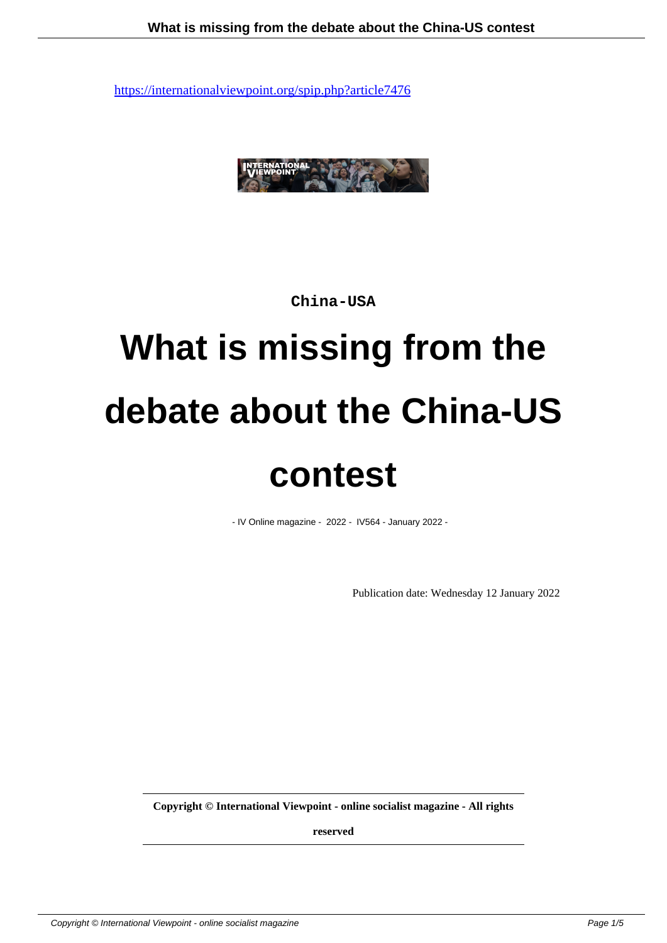

**China-USA**

# **What is missing from the debate about the China-US contest**

- IV Online magazine - 2022 - IV564 - January 2022 -

Publication date: Wednesday 12 January 2022

**Copyright © International Viewpoint - online socialist magazine - All rights**

**reserved**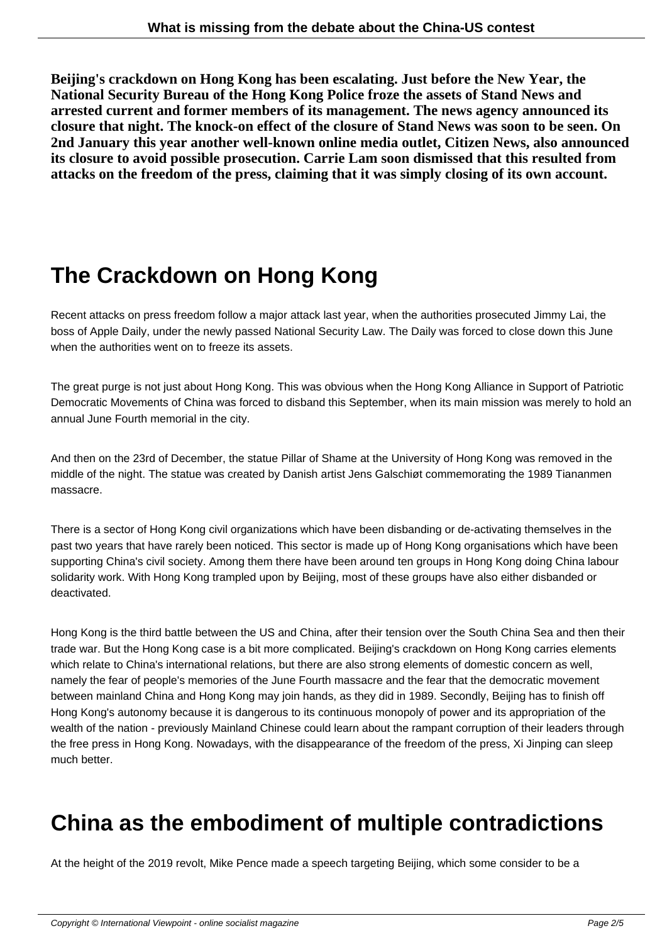**Beijing's crackdown on Hong Kong has been escalating. Just before the New Year, the National Security Bureau of the Hong Kong Police froze the assets of Stand News and arrested current and former members of its management. The news agency announced its closure that night. The knock-on effect of the closure of Stand News was soon to be seen. On 2nd January this year another well-known online media outlet, Citizen News, also announced its closure to avoid possible prosecution. Carrie Lam soon dismissed that this resulted from attacks on the freedom of the press, claiming that it was simply closing of its own account.**

## **The Crackdown on Hong Kong**

Recent attacks on press freedom follow a major attack last year, when the authorities prosecuted Jimmy Lai, the boss of Apple Daily, under the newly passed National Security Law. The Daily was forced to close down this June when the authorities went on to freeze its assets.

The great purge is not just about Hong Kong. This was obvious when the Hong Kong Alliance in Support of Patriotic Democratic Movements of China was forced to disband this September, when its main mission was merely to hold an annual June Fourth memorial in the city.

And then on the 23rd of December, the statue Pillar of Shame at the University of Hong Kong was removed in the middle of the night. The statue was created by Danish artist Jens Galschiøt commemorating the 1989 Tiananmen massacre.

There is a sector of Hong Kong civil organizations which have been disbanding or de-activating themselves in the past two years that have rarely been noticed. This sector is made up of Hong Kong organisations which have been supporting China's civil society. Among them there have been around ten groups in Hong Kong doing China labour solidarity work. With Hong Kong trampled upon by Beijing, most of these groups have also either disbanded or deactivated.

Hong Kong is the third battle between the US and China, after their tension over the South China Sea and then their trade war. But the Hong Kong case is a bit more complicated. Beijing's crackdown on Hong Kong carries elements which relate to China's international relations, but there are also strong elements of domestic concern as well, namely the fear of people's memories of the June Fourth massacre and the fear that the democratic movement between mainland China and Hong Kong may join hands, as they did in 1989. Secondly, Beijing has to finish off Hong Kong's autonomy because it is dangerous to its continuous monopoly of power and its appropriation of the wealth of the nation - previously Mainland Chinese could learn about the rampant corruption of their leaders through the free press in Hong Kong. Nowadays, with the disappearance of the freedom of the press, Xi Jinping can sleep much better.

#### **China as the embodiment of multiple contradictions**

At the height of the 2019 revolt, Mike Pence made a speech targeting Beijing, which some consider to be a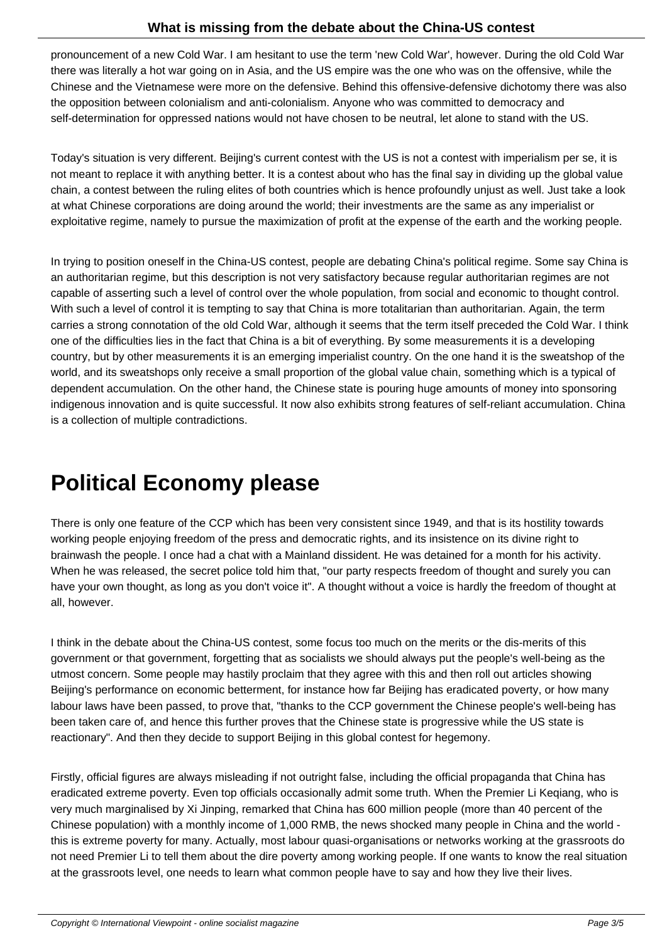pronouncement of a new Cold War. I am hesitant to use the term 'new Cold War', however. During the old Cold War there was literally a hot war going on in Asia, and the US empire was the one who was on the offensive, while the Chinese and the Vietnamese were more on the defensive. Behind this offensive-defensive dichotomy there was also the opposition between colonialism and anti-colonialism. Anyone who was committed to democracy and self-determination for oppressed nations would not have chosen to be neutral, let alone to stand with the US.

Today's situation is very different. Beijing's current contest with the US is not a contest with imperialism per se, it is not meant to replace it with anything better. It is a contest about who has the final say in dividing up the global value chain, a contest between the ruling elites of both countries which is hence profoundly unjust as well. Just take a look at what Chinese corporations are doing around the world; their investments are the same as any imperialist or exploitative regime, namely to pursue the maximization of profit at the expense of the earth and the working people.

In trying to position oneself in the China-US contest, people are debating China's political regime. Some say China is an authoritarian regime, but this description is not very satisfactory because regular authoritarian regimes are not capable of asserting such a level of control over the whole population, from social and economic to thought control. With such a level of control it is tempting to say that China is more totalitarian than authoritarian. Again, the term carries a strong connotation of the old Cold War, although it seems that the term itself preceded the Cold War. I think one of the difficulties lies in the fact that China is a bit of everything. By some measurements it is a developing country, but by other measurements it is an emerging imperialist country. On the one hand it is the sweatshop of the world, and its sweatshops only receive a small proportion of the global value chain, something which is a typical of dependent accumulation. On the other hand, the Chinese state is pouring huge amounts of money into sponsoring indigenous innovation and is quite successful. It now also exhibits strong features of self-reliant accumulation. China is a collection of multiple contradictions.

### **Political Economy please**

There is only one feature of the CCP which has been very consistent since 1949, and that is its hostility towards working people enjoying freedom of the press and democratic rights, and its insistence on its divine right to brainwash the people. I once had a chat with a Mainland dissident. He was detained for a month for his activity. When he was released, the secret police told him that, "our party respects freedom of thought and surely you can have your own thought, as long as you don't voice it". A thought without a voice is hardly the freedom of thought at all, however.

I think in the debate about the China-US contest, some focus too much on the merits or the dis-merits of this government or that government, forgetting that as socialists we should always put the people's well-being as the utmost concern. Some people may hastily proclaim that they agree with this and then roll out articles showing Beijing's performance on economic betterment, for instance how far Beijing has eradicated poverty, or how many labour laws have been passed, to prove that, "thanks to the CCP government the Chinese people's well-being has been taken care of, and hence this further proves that the Chinese state is progressive while the US state is reactionary". And then they decide to support Beijing in this global contest for hegemony.

Firstly, official figures are always misleading if not outright false, including the official propaganda that China has eradicated extreme poverty. Even top officials occasionally admit some truth. When the Premier Li Keqiang, who is very much marginalised by Xi Jinping, remarked that China has 600 million people (more than 40 percent of the Chinese population) with a monthly income of 1,000 RMB, the news shocked many people in China and the world this is extreme poverty for many. Actually, most labour quasi-organisations or networks working at the grassroots do not need Premier Li to tell them about the dire poverty among working people. If one wants to know the real situation at the grassroots level, one needs to learn what common people have to say and how they live their lives.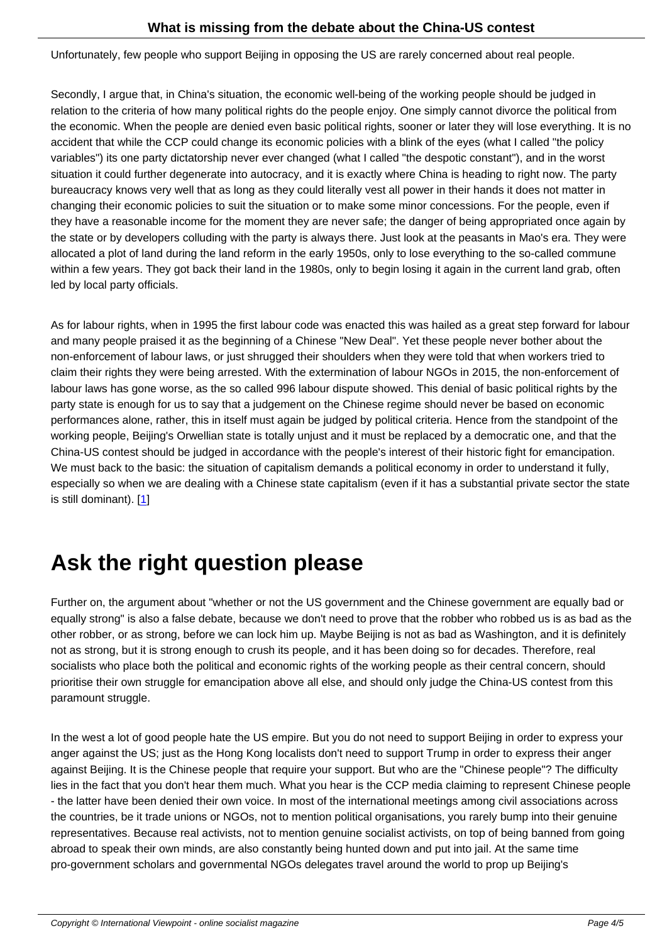Unfortunately, few people who support Beijing in opposing the US are rarely concerned about real people.

Secondly, I argue that, in China's situation, the economic well-being of the working people should be judged in relation to the criteria of how many political rights do the people enjoy. One simply cannot divorce the political from the economic. When the people are denied even basic political rights, sooner or later they will lose everything. It is no accident that while the CCP could change its economic policies with a blink of the eyes (what I called "the policy variables") its one party dictatorship never ever changed (what I called "the despotic constant"), and in the worst situation it could further degenerate into autocracy, and it is exactly where China is heading to right now. The party bureaucracy knows very well that as long as they could literally vest all power in their hands it does not matter in changing their economic policies to suit the situation or to make some minor concessions. For the people, even if they have a reasonable income for the moment they are never safe; the danger of being appropriated once again by the state or by developers colluding with the party is always there. Just look at the peasants in Mao's era. They were allocated a plot of land during the land reform in the early 1950s, only to lose everything to the so-called commune within a few years. They got back their land in the 1980s, only to begin losing it again in the current land grab, often led by local party officials.

As for labour rights, when in 1995 the first labour code was enacted this was hailed as a great step forward for labour and many people praised it as the beginning of a Chinese "New Deal". Yet these people never bother about the non-enforcement of labour laws, or just shrugged their shoulders when they were told that when workers tried to claim their rights they were being arrested. With the extermination of labour NGOs in 2015, the non-enforcement of labour laws has gone worse, as the so called 996 labour dispute showed. This denial of basic political rights by the party state is enough for us to say that a judgement on the Chinese regime should never be based on economic performances alone, rather, this in itself must again be judged by political criteria. Hence from the standpoint of the working people, Beijing's Orwellian state is totally unjust and it must be replaced by a democratic one, and that the China-US contest should be judged in accordance with the people's interest of their historic fight for emancipation. We must back to the basic: the situation of capitalism demands a political economy in order to understand it fully, especially so when we are dealing with a Chinese state capitalism (even if it has a substantial private sector the state is still dominant). [1]

## **Ask the [ri](#nb1)ght question please**

Further on, the argument about "whether or not the US government and the Chinese government are equally bad or equally strong" is also a false debate, because we don't need to prove that the robber who robbed us is as bad as the other robber, or as strong, before we can lock him up. Maybe Beijing is not as bad as Washington, and it is definitely not as strong, but it is strong enough to crush its people, and it has been doing so for decades. Therefore, real socialists who place both the political and economic rights of the working people as their central concern, should prioritise their own struggle for emancipation above all else, and should only judge the China-US contest from this paramount struggle.

In the west a lot of good people hate the US empire. But you do not need to support Beijing in order to express your anger against the US; just as the Hong Kong localists don't need to support Trump in order to express their anger against Beijing. It is the Chinese people that require your support. But who are the "Chinese people"? The difficulty lies in the fact that you don't hear them much. What you hear is the CCP media claiming to represent Chinese people - the latter have been denied their own voice. In most of the international meetings among civil associations across the countries, be it trade unions or NGOs, not to mention political organisations, you rarely bump into their genuine representatives. Because real activists, not to mention genuine socialist activists, on top of being banned from going abroad to speak their own minds, are also constantly being hunted down and put into jail. At the same time pro-government scholars and governmental NGOs delegates travel around the world to prop up Beijing's